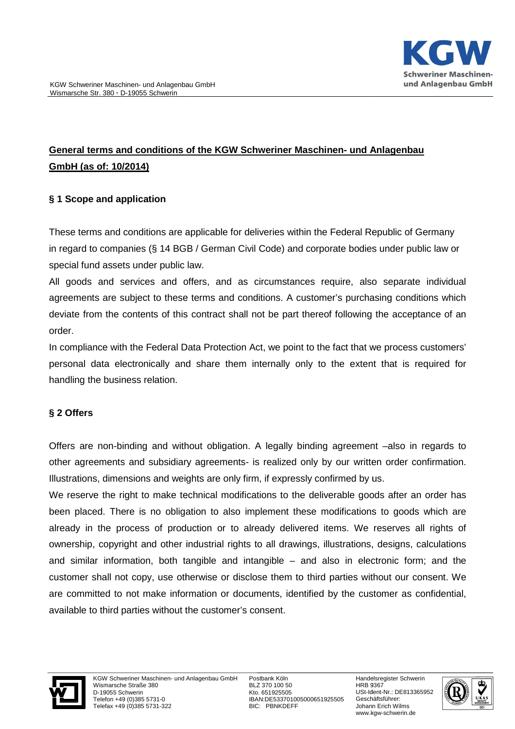# **General terms and conditions of the KGW Schweriner Maschinen Maschinen- und Anlagenbau GmbH (as of: 10/2014)**

## **§ 1 Scope and application**

These terms and conditions are applicable for deliveries within the Federal Republic of Germany in regard to companies (§ 14 BGB / German Civil Code) and corporate bodies under public law or special fund assets under public law.

All goods and services and offers, and as circumstances require, also separate individual agreements are subject to these terms and conditions. A customer's purchasing conditions which deviate from the contents of this contract shall not be part thereof following the acceptance of an order.

In compliance with the Federal Data Protection Act, we point to the fact that we process customers' personal data electronically and share them internally only to the extent that is required for handling the business relation. ion Act, we point to the fact that we process customers'<br>em internally only to the extent that is required for<br>ion. A legally binding agreement –also in regards to

## **§ 2 Offers**

Offers are non-binding and without obligation. A legally binding agreement other agreements and subsidiary agreements- is realized only by our written order confirmation. Illustrations, dimensions and weights are only firm, if expressly confirmed by us.

We reserve the right to make technical modifications to the deliverable goods after an order has been placed. There is no obligation to also implement these modifications to goods which are already in the process of production or to already delivered items. We reserves all rights of ownership, copyright and other industrial rights to all drawings, illustrations, designs, calculations ownership, copyright and other industrial rights to all drawings, illustrations, designs, calculations<br>and similar information, both tangible and intangible – and also in electronic form; and the customer shall not copy, use otherwise or disclose them to third parties without our consent. We are committed to not make information or documents, identified by the customer as confidential, available to third parties without the customer's consent.



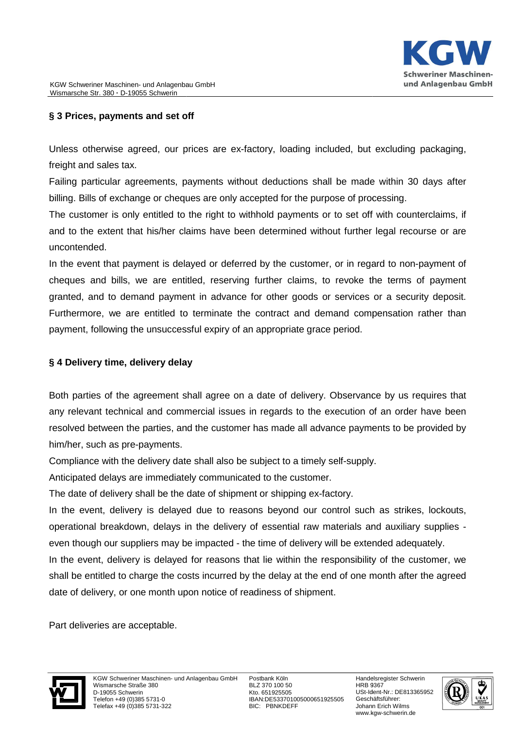## **§ 3 Prices, payments and set off**

Unless otherwise agreed, our prices are ex-factory, loading included, but excluding packaging, freight and sales tax.

Failing particular agreements, payments without deductions shall be made within 30 days after billing. Bills of exchange or cheques are only accepted for the purpose of processing.

The customer is only entitled to the right to withhold payments or to set off with counterclaims, if and to the extent that his/her claims have been determined without further legal recourse or are uncontended. Factory, loading included, but excluding packaging,<br>hout deductions shall be made within 30 days after<br>accepted for the purpose of processing.<br>withhold payments or to set off with counterclaims, if<br>een determined without f

In the event that payment is delayed or deferred by the customer, or in regard to non cheques and bills, we are entitled, reserving further claims, to revoke the terms of payment granted, and to demand payment in advance for other goods or services or a security deposit. Furthermore, we are entitled to terminate the contract and demand compensation rather than payment, following the unsuccessful expiry of an appropriate grace period. re entitled to terminate the contract and demand compensation rather than<br>the unsuccessful expiry of an appropriate grace period.<br>**delivery delay**<br>agreement shall agree on a date of delivery. Observance by us requires that

## **§ 4 Delivery time, delivery delay**

Both parties of the agreement shall agree on a date of delivery. Observance by us requires that any relevant technical and commercial issues in regards to the execution of an order have been resolved between the parties, and the customer has made all advance payments to be provided by him/her, such as pre-payments. a date of delivery. Observance by us requires that<br>in regards to the execution of an order have been<br>r has made all advance payments to be provided by<br>subject to a timely self-supply.<br>ted to the customer.<br>ent or shipping e

Compliance with the delivery date shall also be subject to a timely self self-supply.

Anticipated delays are immediately communicated to the customer.

The date of delivery shall be the date of shipment or shipping ex-factory.

In the event, delivery is delayed due to reasons beyond our control such as strikes, lockouts, operational breakdown, delays in the delivery of essential raw materials and auxiliary supplies even though our suppliers may be impacted - the time of delivery will be extended adequately.

In the event, delivery is delayed for reasons that lie within the responsibility of the customer, we shall be entitled to charge the costs incurred by the delay at the end of one month after the agreed date of delivery, or one month upon notice of readiness of shipment.

Part deliveries are acceptable.



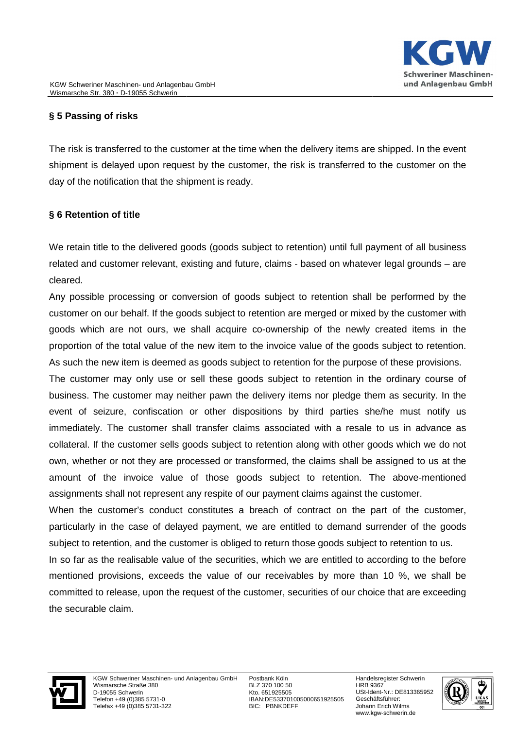# **§ 5 Passing of risks**

The risk is transferred to the customer at the time when the delivery items are shipped. In the event shipment is delayed upon request by the customer, the risk is transferred to the customer on the day of the notification that the shipment is ready.

## **§ 6 Retention of title**

We retain title to the delivered goods (goods subject to retention) until full payment of all business related and customer relevant, existing and future, claims - based on whatever legal grounds - are cleared.

Any possible processing or conversion of goods subject to retention shall be performed by the customer on our behalf. If the goods subject to retention are merged or mixed by the customer with goods which are not ours, we shall acquire co-ownership of the newly created items in the proportion of the total value of the new item to the invoice value of the goods subject to retention. As such the new item is deemed as goods subject to retention for the purpose of these provisions. ownership of the newly created items in the<br>invoice value of the goods subject to retention<br>o retention for the purpose of these provisions.

The customer may only use or sell these goods subject to retention in the ordinary course of business. The customer may neither pawn the delivery items nor pledge them as security. In the event of seizure, confiscation or other dispositions by third parties she/he must notify us immediately. The customer shall transfer claims associated with a resale to us in advance as collateral. If the customer sells goods subject to retention along with other goods which we do not own, whether or not they are processed or transformed, the claims shall be assigned to us at the event of seizure, confiscation or other dispositions by third parties she/he must notify us<br>immediately. The customer shall transfer claims associated with a resale to us in advance as<br>collateral. If the customer sells goo assignments shall not represent any respite of our payment claims against the customer.

When the customer's conduct constitutes a breach of contract on the part of the customer, particularly in the case of delayed payment, we are entitled to demand surrender of the goods subject to retention, and the customer is obliged to return those goods subject to retention to us.

In so far as the realisable value of the securities, which we are entitled to according to the before mentioned provisions, exceeds the value of our receivables by more than 10 %, we shall be committed to release, upon the request of the customer, s ecurities the securable claim. nduct constitutes a breach of contract on the part of the customer,<br>i delayed payment, we are entitled to demand surrender of the goods<br>ne customer is obliged to return those goods subject to retention to us.<br>value of the



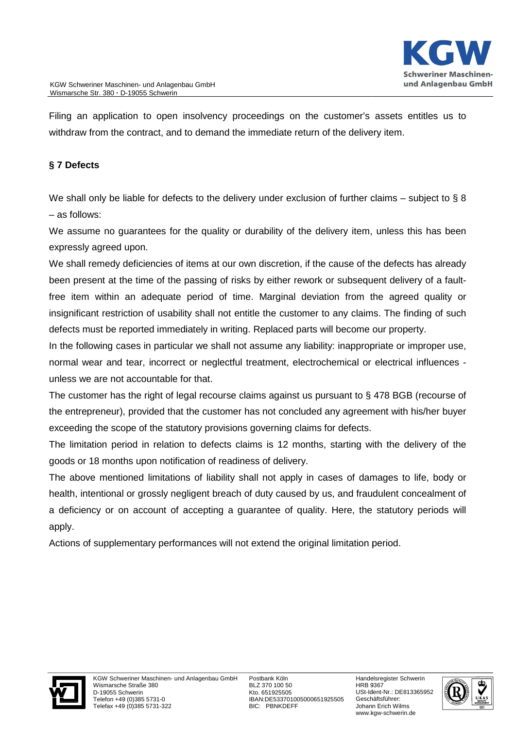Filing an application to open insolvency proceedings on the customer's assets entitles us to withdraw from the contract, and to demand the immediate return of the delivery item.

## **§ 7 Defects**

We shall only be liable for defects to the delivery under exclusion of further claims – subject to § 8 – as follows:

We assume no guarantees for the quality or durability of the delivery item, unless this has been expressly agreed upon.

We shall remedy deficiencies of items at our own discretion, if the cause of the defects has already been present at the time of the passing of risks by either rework or subsequent delivery of a faultfree item within an adequate period of time. Marginal deviation from the a agreed quality or insignificant restriction of usability shall not entitle the customer to any claims. The finding of such defects must be reported immediately in writing. Replaced parts will become our property. iciencies of items at our own discretion, if the cause of the time of the passing of risks by either rework or subsequadequate period of time. Marginal deviation from the on of usability shall not entitle the customer to a

In the following cases in particular we shall not assume any liability: inappropriate or improper use, normal wear and tear, incorrect or neglectful treatment, electrochemical or electrical influences unless we are not accountable for that.

The customer has the right of legal recourse claims against us pursuant to § 478 BGB (recourse of the entrepreneur), provided that the customer has not concluded any agreement with his/her buyer exceeding the scope of the statutory provisions governing claims for defects.

The limitation period in relation to defects claims is 12 months, starting with the delivery of the goods or 18 months upon notification of readiness of delivery.

The above mentioned limitations of liability shall not apply in cases of damages to life, body or health, intentional or grossly negligent breach of duty caused by us, and fraudulent concealment of a deficiency or on account of accepting a guarantee of quality. Here, the statutory periods will apply.

Actions of supplementary performances will not extend the original limitation period.